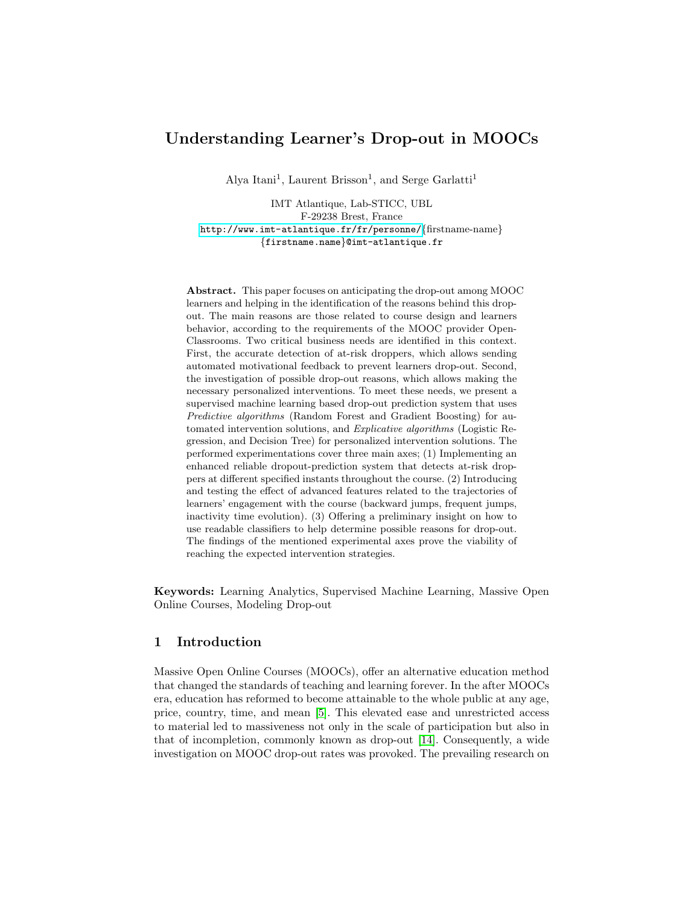# Understanding Learner's Drop-out in MOOCs

Alya Itani<sup>1</sup>, Laurent Brisson<sup>1</sup>, and Serge Garlatti<sup>1</sup>

IMT Atlantique, Lab-STICC, UBL F-29238 Brest, France <http://www.imt-atlantique.fr/fr/personne/>{firstname-name} {firstname.name}@imt-atlantique.fr

Abstract. This paper focuses on anticipating the drop-out among MOOC learners and helping in the identification of the reasons behind this dropout. The main reasons are those related to course design and learners behavior, according to the requirements of the MOOC provider Open-Classrooms. Two critical business needs are identified in this context. First, the accurate detection of at-risk droppers, which allows sending automated motivational feedback to prevent learners drop-out. Second, the investigation of possible drop-out reasons, which allows making the necessary personalized interventions. To meet these needs, we present a supervised machine learning based drop-out prediction system that uses Predictive algorithms (Random Forest and Gradient Boosting) for automated intervention solutions, and Explicative algorithms (Logistic Regression, and Decision Tree) for personalized intervention solutions. The performed experimentations cover three main axes; (1) Implementing an enhanced reliable dropout-prediction system that detects at-risk droppers at different specified instants throughout the course. (2) Introducing and testing the effect of advanced features related to the trajectories of learners' engagement with the course (backward jumps, frequent jumps, inactivity time evolution). (3) Offering a preliminary insight on how to use readable classifiers to help determine possible reasons for drop-out. The findings of the mentioned experimental axes prove the viability of reaching the expected intervention strategies.

Keywords: Learning Analytics, Supervised Machine Learning, Massive Open Online Courses, Modeling Drop-out

## 1 Introduction

Massive Open Online Courses (MOOCs), offer an alternative education method that changed the standards of teaching and learning forever. In the after MOOCs era, education has reformed to become attainable to the whole public at any age, price, country, time, and mean [\[5\]](#page-11-0). This elevated ease and unrestricted access to material led to massiveness not only in the scale of participation but also in that of incompletion, commonly known as drop-out [\[14\]](#page-11-1). Consequently, a wide investigation on MOOC drop-out rates was provoked. The prevailing research on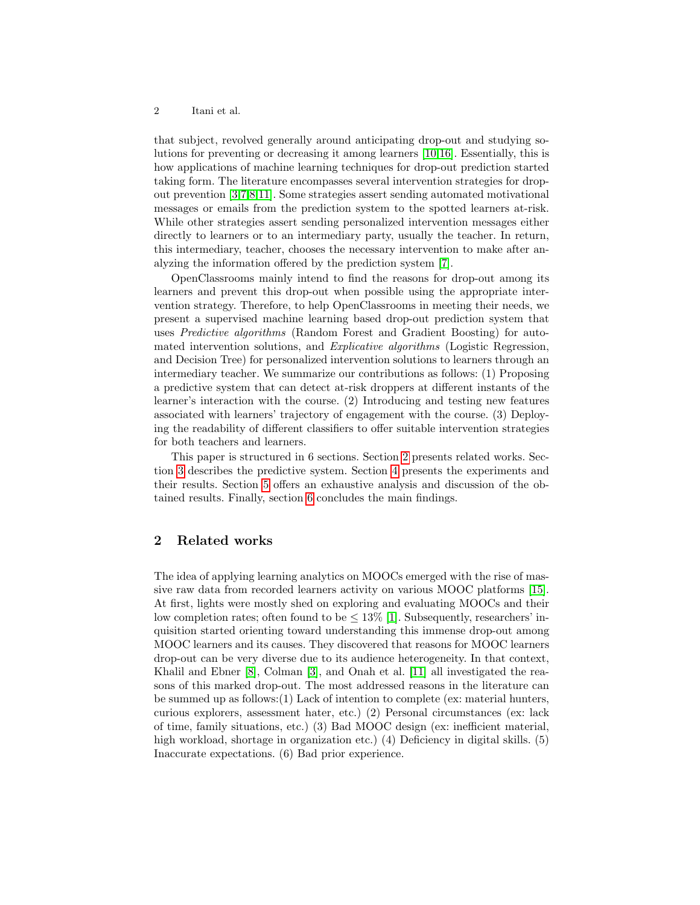that subject, revolved generally around anticipating drop-out and studying solutions for preventing or decreasing it among learners [\[10,](#page-11-2)[16\]](#page-11-3). Essentially, this is how applications of machine learning techniques for drop-out prediction started taking form. The literature encompasses several intervention strategies for dropout prevention [\[3,](#page-11-4)[7,](#page-11-5)[8](#page-11-6)[,11\]](#page-11-7). Some strategies assert sending automated motivational messages or emails from the prediction system to the spotted learners at-risk. While other strategies assert sending personalized intervention messages either directly to learners or to an intermediary party, usually the teacher. In return, this intermediary, teacher, chooses the necessary intervention to make after analyzing the information offered by the prediction system [\[7\]](#page-11-5).

OpenClassrooms mainly intend to find the reasons for drop-out among its learners and prevent this drop-out when possible using the appropriate intervention strategy. Therefore, to help OpenClassrooms in meeting their needs, we present a supervised machine learning based drop-out prediction system that uses Predictive algorithms (Random Forest and Gradient Boosting) for automated intervention solutions, and Explicative algorithms (Logistic Regression, and Decision Tree) for personalized intervention solutions to learners through an intermediary teacher. We summarize our contributions as follows: (1) Proposing a predictive system that can detect at-risk droppers at different instants of the learner's interaction with the course. (2) Introducing and testing new features associated with learners' trajectory of engagement with the course. (3) Deploying the readability of different classifiers to offer suitable intervention strategies for both teachers and learners.

This paper is structured in 6 sections. Section [2](#page-1-0) presents related works. Section [3](#page-2-0) describes the predictive system. Section [4](#page-3-0) presents the experiments and their results. Section [5](#page-7-0) offers an exhaustive analysis and discussion of the obtained results. Finally, section [6](#page-10-0) concludes the main findings.

## <span id="page-1-0"></span>2 Related works

The idea of applying learning analytics on MOOCs emerged with the rise of massive raw data from recorded learners activity on various MOOC platforms [\[15\]](#page-11-8). At first, lights were mostly shed on exploring and evaluating MOOCs and their low completion rates; often found to be  $\leq 13\%$  [\[1\]](#page-11-9). Subsequently, researchers' inquisition started orienting toward understanding this immense drop-out among MOOC learners and its causes. They discovered that reasons for MOOC learners drop-out can be very diverse due to its audience heterogeneity. In that context, Khalil and Ebner [\[8\]](#page-11-6), Colman [\[3\]](#page-11-4), and Onah et al. [\[11\]](#page-11-7) all investigated the reasons of this marked drop-out. The most addressed reasons in the literature can be summed up as follows:(1) Lack of intention to complete (ex: material hunters, curious explorers, assessment hater, etc.) (2) Personal circumstances (ex: lack of time, family situations, etc.) (3) Bad MOOC design (ex: inefficient material, high workload, shortage in organization etc.) (4) Deficiency in digital skills. (5) Inaccurate expectations. (6) Bad prior experience.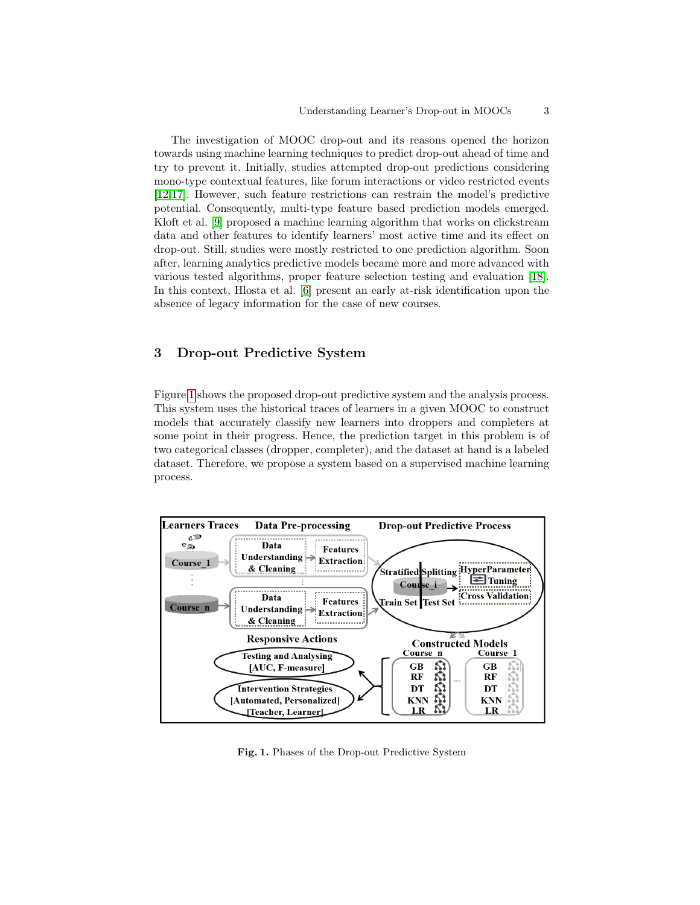The investigation of MOOC drop-out and its reasons opened the horizon towards using machine learning techniques to predict drop-out ahead of time and try to prevent it. Initially, studies attempted drop-out predictions considering mono-type contextual features, like forum interactions or video restricted events [\[12](#page-11-10)[,17\]](#page-11-11). However, such feature restrictions can restrain the model's predictive potential. Consequently, multi-type feature based prediction models emerged. Kloft et al. [\[9\]](#page-11-12) proposed a machine learning algorithm that works on clickstream data and other features to identify learners' most active time and its effect on drop-out. Still, studies were mostly restricted to one prediction algorithm. Soon after, learning analytics predictive models became more and more advanced with various tested algorithms, proper feature selection testing and evaluation [\[18\]](#page-11-13). In this context, Hlosta et al. [\[6\]](#page-11-14) present an early at-risk identification upon the absence of legacy information for the case of new courses.

## <span id="page-2-0"></span>3 Drop-out Predictive System

Figure [1](#page-2-1) shows the proposed drop-out predictive system and the analysis process. This system uses the historical traces of learners in a given MOOC to construct models that accurately classify new learners into droppers and completers at some point in their progress. Hence, the prediction target in this problem is of two categorical classes (dropper, completer), and the dataset at hand is a labeled dataset. Therefore, we propose a system based on a supervised machine learning process.



<span id="page-2-1"></span>Fig. 1. Phases of the Drop-out Predictive System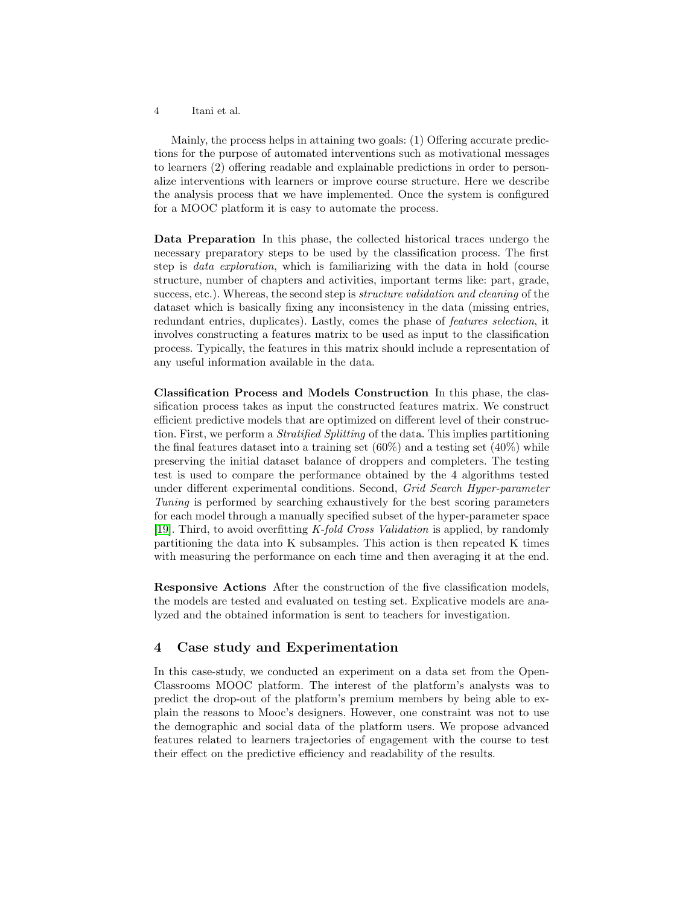Mainly, the process helps in attaining two goals: (1) Offering accurate predictions for the purpose of automated interventions such as motivational messages to learners (2) offering readable and explainable predictions in order to personalize interventions with learners or improve course structure. Here we describe the analysis process that we have implemented. Once the system is configured for a MOOC platform it is easy to automate the process.

Data Preparation In this phase, the collected historical traces undergo the necessary preparatory steps to be used by the classification process. The first step is data exploration, which is familiarizing with the data in hold (course structure, number of chapters and activities, important terms like: part, grade, success, etc.). Whereas, the second step is *structure validation and cleaning* of the dataset which is basically fixing any inconsistency in the data (missing entries, redundant entries, duplicates). Lastly, comes the phase of features selection, it involves constructing a features matrix to be used as input to the classification process. Typically, the features in this matrix should include a representation of any useful information available in the data.

Classification Process and Models Construction In this phase, the classification process takes as input the constructed features matrix. We construct efficient predictive models that are optimized on different level of their construction. First, we perform a Stratified Splitting of the data. This implies partitioning the final features dataset into a training set  $(60\%)$  and a testing set  $(40\%)$  while preserving the initial dataset balance of droppers and completers. The testing test is used to compare the performance obtained by the 4 algorithms tested under different experimental conditions. Second, Grid Search Hyper-parameter Tuning is performed by searching exhaustively for the best scoring parameters for each model through a manually specified subset of the hyper-parameter space [\[19\]](#page-11-15). Third, to avoid overfitting K-fold Cross Validation is applied, by randomly partitioning the data into K subsamples. This action is then repeated K times with measuring the performance on each time and then averaging it at the end.

Responsive Actions After the construction of the five classification models, the models are tested and evaluated on testing set. Explicative models are analyzed and the obtained information is sent to teachers for investigation.

## <span id="page-3-0"></span>4 Case study and Experimentation

In this case-study, we conducted an experiment on a data set from the Open-Classrooms MOOC platform. The interest of the platform's analysts was to predict the drop-out of the platform's premium members by being able to explain the reasons to Mooc's designers. However, one constraint was not to use the demographic and social data of the platform users. We propose advanced features related to learners trajectories of engagement with the course to test their effect on the predictive efficiency and readability of the results.

<sup>4</sup> Itani et al.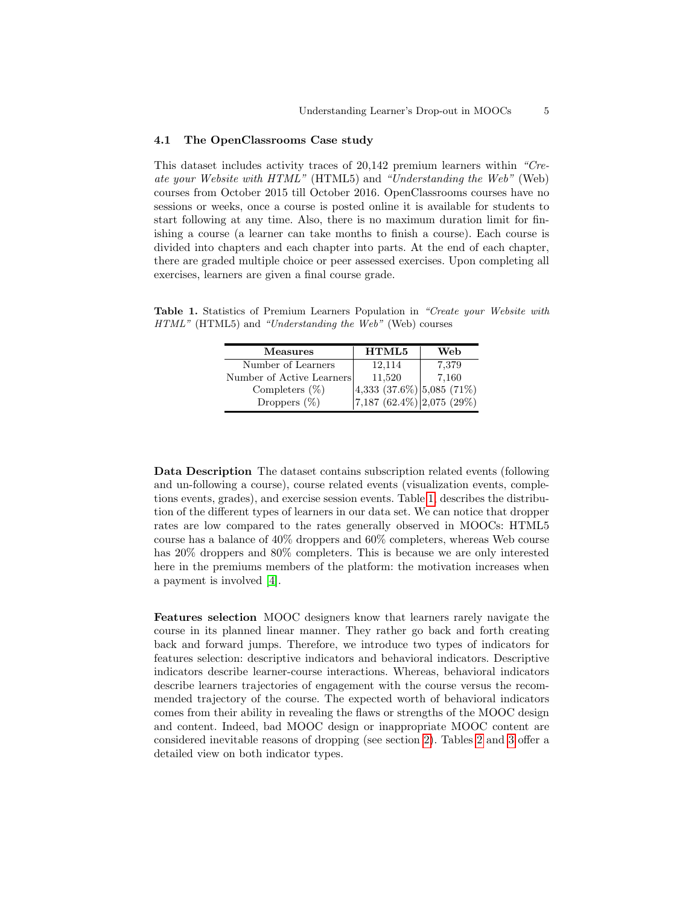### 4.1 The OpenClassrooms Case study

This dataset includes activity traces of 20,142 premium learners within "Create your Website with HTML" (HTML5) and "Understanding the Web" (Web) courses from October 2015 till October 2016. OpenClassrooms courses have no sessions or weeks, once a course is posted online it is available for students to start following at any time. Also, there is no maximum duration limit for finishing a course (a learner can take months to finish a course). Each course is divided into chapters and each chapter into parts. At the end of each chapter, there are graded multiple choice or peer assessed exercises. Upon completing all exercises, learners are given a final course grade.

Table 1. Statistics of Premium Learners Population in "Create your Website with HTML" (HTML5) and "Understanding the Web" (Web) courses

<span id="page-4-0"></span>

| <b>Measures</b>           | HTML5                                                                                                        | Web   |
|---------------------------|--------------------------------------------------------------------------------------------------------------|-------|
| Number of Learners        | 12,114                                                                                                       | 7.379 |
| Number of Active Learners | 11,520                                                                                                       | 7,160 |
| Completers $(\%)$         |                                                                                                              |       |
| Droppers $(\%)$           | $\left  \frac{4,333}{7,187} \frac{(37.6\%)}{(62.4\%)} \right  \stackrel{5,085}{2,075} \frac{(71\%)}{(29\%)}$ |       |

Data Description The dataset contains subscription related events (following and un-following a course), course related events (visualization events, completions events, grades), and exercise session events. Table [1,](#page-4-0) describes the distribution of the different types of learners in our data set. We can notice that dropper rates are low compared to the rates generally observed in MOOCs: HTML5 course has a balance of 40% droppers and 60% completers, whereas Web course has 20% droppers and 80% completers. This is because we are only interested here in the premiums members of the platform: the motivation increases when a payment is involved [\[4\]](#page-11-16).

Features selection MOOC designers know that learners rarely navigate the course in its planned linear manner. They rather go back and forth creating back and forward jumps. Therefore, we introduce two types of indicators for features selection: descriptive indicators and behavioral indicators. Descriptive indicators describe learner-course interactions. Whereas, behavioral indicators describe learners trajectories of engagement with the course versus the recommended trajectory of the course. The expected worth of behavioral indicators comes from their ability in revealing the flaws or strengths of the MOOC design and content. Indeed, bad MOOC design or inappropriate MOOC content are considered inevitable reasons of dropping (see section [2\)](#page-1-0). Tables [2](#page-5-0) and [3](#page-5-1) offer a detailed view on both indicator types.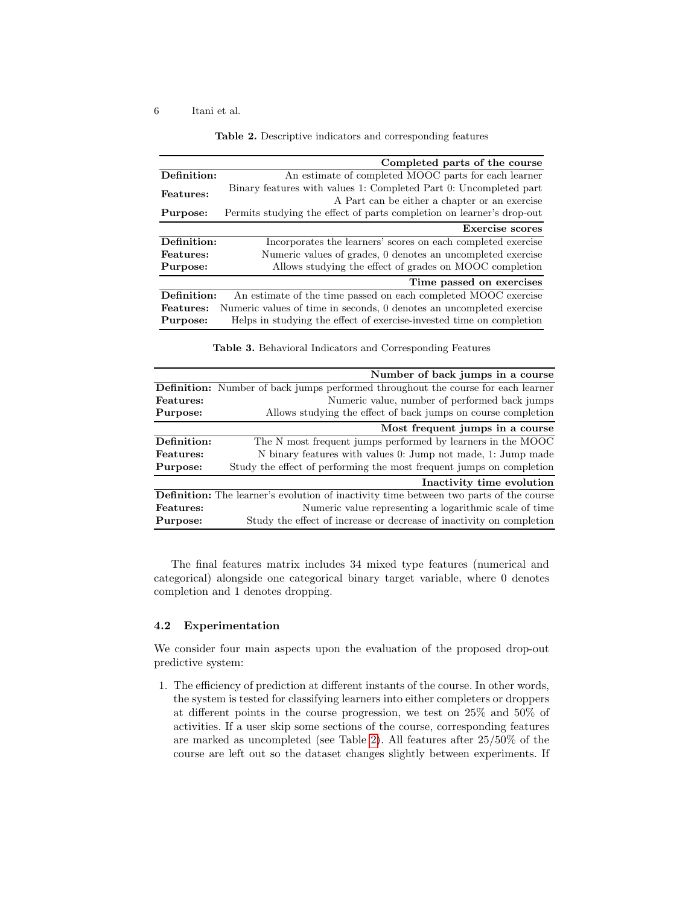<span id="page-5-0"></span>Table 2. Descriptive indicators and corresponding features

|                  | Completed parts of the course                                         |
|------------------|-----------------------------------------------------------------------|
| Definition:      | An estimate of completed MOOC parts for each learner                  |
| <b>Features:</b> | Binary features with values 1: Completed Part 0: Uncompleted part     |
|                  | A Part can be either a chapter or an exercise                         |
| Purpose:         | Permits studying the effect of parts completion on learner's drop-out |
|                  | Exercise scores                                                       |
| Definition:      | Incorporates the learners' scores on each completed exercise          |
| <b>Features:</b> | Numeric values of grades, 0 denotes an uncompleted exercise           |
| Purpose:         | Allows studying the effect of grades on MOOC completion               |
|                  | Time passed on exercises                                              |
| Definition:      | An estimate of the time passed on each completed MOOC exercise        |
| <b>Features:</b> | Numeric values of time in seconds, 0 denotes an uncompleted exercise  |
| Purpose:         | Helps in studying the effect of exercise-invested time on completion  |

<span id="page-5-1"></span>Table 3. Behavioral Indicators and Corresponding Features

|                  | Number of back jumps in a course                                                              |
|------------------|-----------------------------------------------------------------------------------------------|
|                  | <b>Definition:</b> Number of back jumps performed throughout the course for each learner      |
| Features:        | Numeric value, number of performed back jumps                                                 |
| Purpose:         | Allows studying the effect of back jumps on course completion                                 |
|                  | Most frequent jumps in a course                                                               |
| Definition:      | The N most frequent jumps performed by learners in the MOOC                                   |
| <b>Features:</b> | N binary features with values 0: Jump not made, 1: Jump made                                  |
| Purpose:         | Study the effect of performing the most frequent jumps on completion                          |
|                  | Inactivity time evolution                                                                     |
|                  | <b>Definition:</b> The learner's evolution of inactivity time between two parts of the course |
| Features:        | Numeric value representing a logarithmic scale of time                                        |
| Purpose:         | Study the effect of increase or decrease of inactivity on completion                          |

The final features matrix includes 34 mixed type features (numerical and categorical) alongside one categorical binary target variable, where 0 denotes completion and 1 denotes dropping.

### 4.2 Experimentation

We consider four main aspects upon the evaluation of the proposed drop-out predictive system:

1. The efficiency of prediction at different instants of the course. In other words, the system is tested for classifying learners into either completers or droppers at different points in the course progression, we test on 25% and 50% of activities. If a user skip some sections of the course, corresponding features are marked as uncompleted (see Table [2\)](#page-5-0). All features after 25/50% of the course are left out so the dataset changes slightly between experiments. If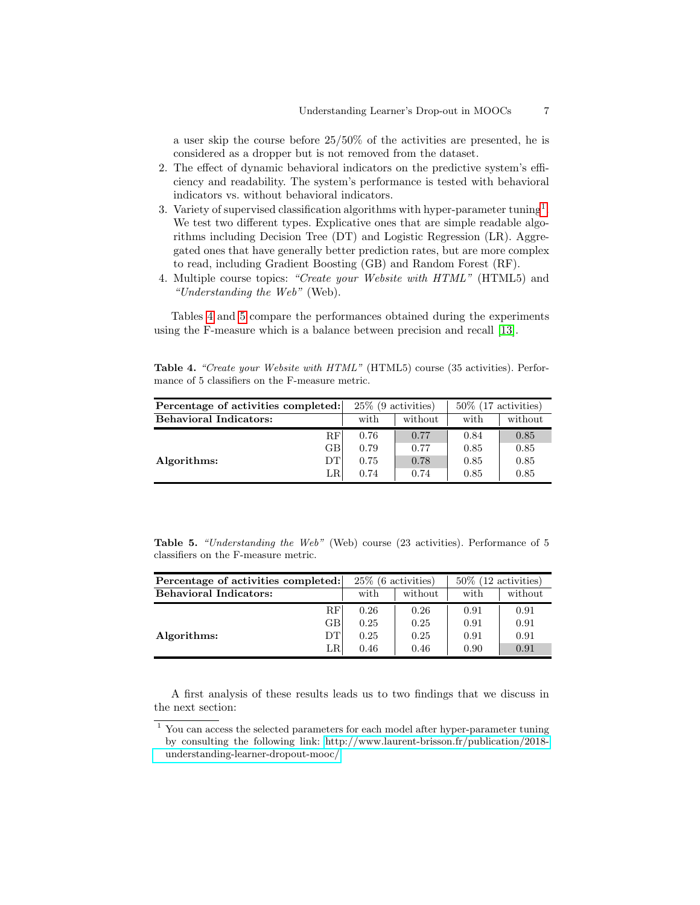a user skip the course before 25/50% of the activities are presented, he is considered as a dropper but is not removed from the dataset.

- 2. The effect of dynamic behavioral indicators on the predictive system's efficiency and readability. The system's performance is tested with behavioral indicators vs. without behavioral indicators.
- 3. Variety of supervised classification algorithms with hyper-parameter tuning<sup>[1](#page-6-0)</sup>. We test two different types. Explicative ones that are simple readable algorithms including Decision Tree (DT) and Logistic Regression (LR). Aggregated ones that have generally better prediction rates, but are more complex to read, including Gradient Boosting (GB) and Random Forest (RF).
- 4. Multiple course topics: "Create your Website with HTML" (HTML5) and "Understanding the Web" (Web).

Tables [4](#page-6-1) and [5](#page-6-2) compare the performances obtained during the experiments using the F-measure which is a balance between precision and recall [\[13\]](#page-11-17).

<span id="page-6-1"></span>Table 4. "Create your Website with HTML" (HTML5) course (35 activities). Performance of 5 classifiers on the F-measure metric.

| Percentage of activities completed: | $25\%$ (9 activities) |         | $50\%$ (17 activities) |         |
|-------------------------------------|-----------------------|---------|------------------------|---------|
| <b>Behavioral Indicators:</b>       | with                  | without | with                   | without |
| RF                                  | 0.76                  | 0.77    | 0.84                   | 0.85    |
| GВ                                  | 0.79                  | 0.77    | 0.85                   | 0.85    |
| Algorithms:<br><b>DT</b>            | 0.75                  | 0.78    | 0.85                   | 0.85    |
| LR                                  | 0.74                  | 0.74    | 0.85                   | 0.85    |

<span id="page-6-2"></span>Table 5. "Understanding the Web" (Web) course (23 activities). Performance of 5 classifiers on the F-measure metric.

| Percentage of activities completed: |    | $25\%$ (6 activities) |         | $50\%$ (12 activities) |         |
|-------------------------------------|----|-----------------------|---------|------------------------|---------|
| <b>Behavioral Indicators:</b>       |    | with                  | without | with                   | without |
|                                     | RF | 0.26                  | 0.26    | 0.91                   | 0.91    |
|                                     | GВ | 0.25                  | 0.25    | 0.91                   | 0.91    |
| Algorithms:<br>DТ                   |    | 0.25                  | 0.25    | 0.91                   | 0.91    |
|                                     | LR | 0.46                  | 0.46    | 0.90                   | 0.91    |

A first analysis of these results leads us to two findings that we discuss in the next section:

<span id="page-6-0"></span><sup>1</sup> You can access the selected parameters for each model after hyper-parameter tuning by consulting the following link: [http://www.laurent-brisson.fr/publication/2018](http://www.laurent-brisson.fr/publication/2018-understanding-learner-dropout-mooc/) [understanding-learner-dropout-mooc/](http://www.laurent-brisson.fr/publication/2018-understanding-learner-dropout-mooc/)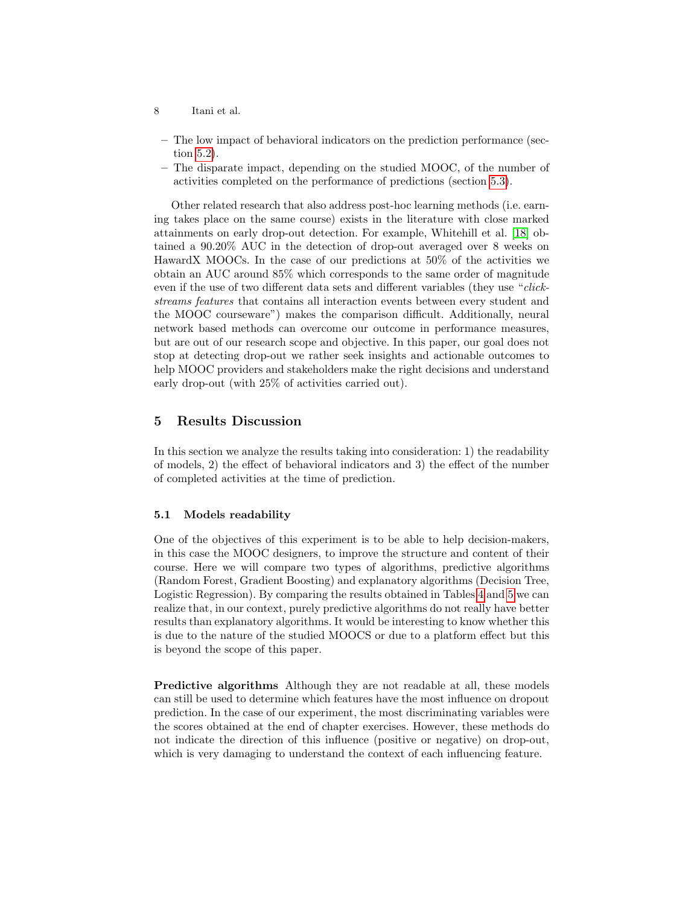- 8 Itani et al.
	- The low impact of behavioral indicators on the prediction performance (section [5.2\)](#page-9-0).
	- The disparate impact, depending on the studied MOOC, of the number of activities completed on the performance of predictions (section [5.3\)](#page-10-1).

Other related research that also address post-hoc learning methods (i.e. earning takes place on the same course) exists in the literature with close marked attainments on early drop-out detection. For example, Whitehill et al. [\[18\]](#page-11-13) obtained a 90.20% AUC in the detection of drop-out averaged over 8 weeks on HawardX MOOCs. In the case of our predictions at 50% of the activities we obtain an AUC around 85% which corresponds to the same order of magnitude even if the use of two different data sets and different variables (they use "clickstreams features that contains all interaction events between every student and the MOOC courseware") makes the comparison difficult. Additionally, neural network based methods can overcome our outcome in performance measures, but are out of our research scope and objective. In this paper, our goal does not stop at detecting drop-out we rather seek insights and actionable outcomes to help MOOC providers and stakeholders make the right decisions and understand early drop-out (with 25% of activities carried out).

## <span id="page-7-0"></span>5 Results Discussion

In this section we analyze the results taking into consideration: 1) the readability of models, 2) the effect of behavioral indicators and 3) the effect of the number of completed activities at the time of prediction.

### <span id="page-7-1"></span>5.1 Models readability

One of the objectives of this experiment is to be able to help decision-makers, in this case the MOOC designers, to improve the structure and content of their course. Here we will compare two types of algorithms, predictive algorithms (Random Forest, Gradient Boosting) and explanatory algorithms (Decision Tree, Logistic Regression). By comparing the results obtained in Tables [4](#page-6-1) and [5](#page-6-2) we can realize that, in our context, purely predictive algorithms do not really have better results than explanatory algorithms. It would be interesting to know whether this is due to the nature of the studied MOOCS or due to a platform effect but this is beyond the scope of this paper.

Predictive algorithms Although they are not readable at all, these models can still be used to determine which features have the most influence on dropout prediction. In the case of our experiment, the most discriminating variables were the scores obtained at the end of chapter exercises. However, these methods do not indicate the direction of this influence (positive or negative) on drop-out, which is very damaging to understand the context of each influencing feature.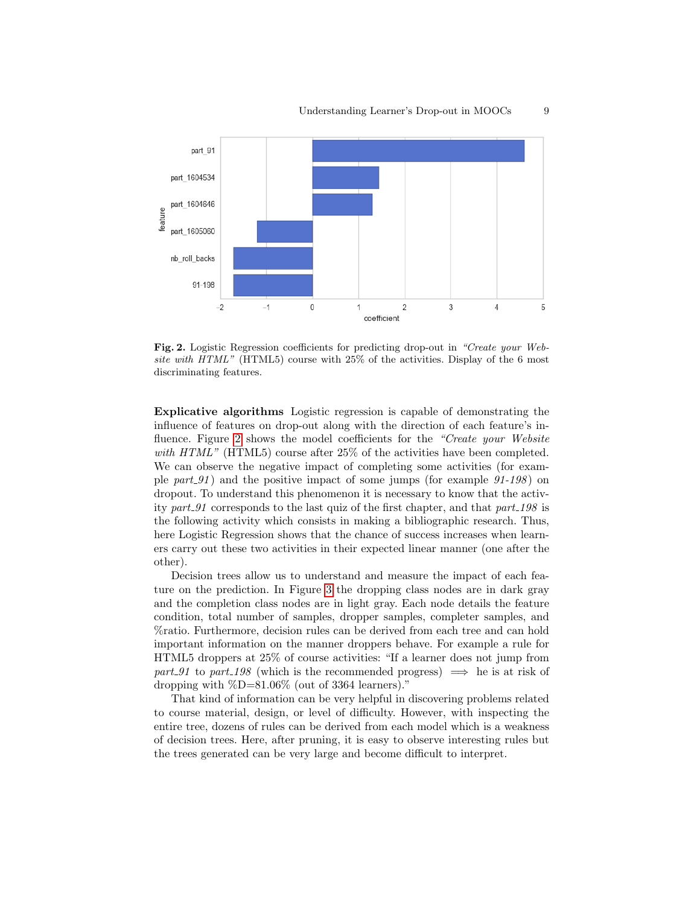

<span id="page-8-0"></span>Fig. 2. Logistic Regression coefficients for predicting drop-out in "Create your Website with HTML" (HTML5) course with 25% of the activities. Display of the 6 most discriminating features.

Explicative algorithms Logistic regression is capable of demonstrating the influence of features on drop-out along with the direction of each feature's in-fluence. Figure [2](#page-8-0) shows the model coefficients for the "Create your Website with HTML" (HTML5) course after 25% of the activities have been completed. We can observe the negative impact of completing some activities (for example part  $91$  and the positive impact of some jumps (for example  $91$ - $198$ ) on dropout. To understand this phenomenon it is necessary to know that the activity part 91 corresponds to the last quiz of the first chapter, and that part 198 is the following activity which consists in making a bibliographic research. Thus, here Logistic Regression shows that the chance of success increases when learners carry out these two activities in their expected linear manner (one after the other).

Decision trees allow us to understand and measure the impact of each feature on the prediction. In Figure [3](#page-9-1) the dropping class nodes are in dark gray and the completion class nodes are in light gray. Each node details the feature condition, total number of samples, dropper samples, completer samples, and %ratio. Furthermore, decision rules can be derived from each tree and can hold important information on the manner droppers behave. For example a rule for HTML5 droppers at 25% of course activities: "If a learner does not jump from part 91 to part 198 (which is the recommended progress)  $\implies$  he is at risk of dropping with %D=81.06% (out of 3364 learners)."

That kind of information can be very helpful in discovering problems related to course material, design, or level of difficulty. However, with inspecting the entire tree, dozens of rules can be derived from each model which is a weakness of decision trees. Here, after pruning, it is easy to observe interesting rules but the trees generated can be very large and become difficult to interpret.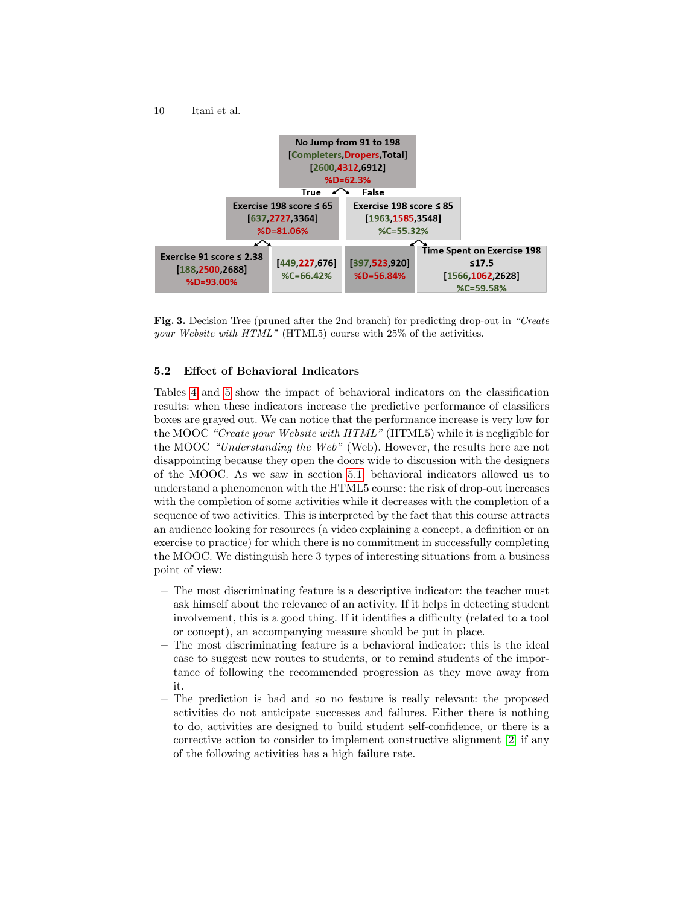

<span id="page-9-1"></span>Fig. 3. Decision Tree (pruned after the 2nd branch) for predicting drop-out in "Create your Website with HTML" (HTML5) course with 25% of the activities.

### <span id="page-9-0"></span>5.2 Effect of Behavioral Indicators

Tables [4](#page-6-1) and [5](#page-6-2) show the impact of behavioral indicators on the classification results: when these indicators increase the predictive performance of classifiers boxes are grayed out. We can notice that the performance increase is very low for the MOOC "Create your Website with HTML" (HTML5) while it is negligible for the MOOC "Understanding the Web" (Web). However, the results here are not disappointing because they open the doors wide to discussion with the designers of the MOOC. As we saw in section [5.1,](#page-7-1) behavioral indicators allowed us to understand a phenomenon with the HTML5 course: the risk of drop-out increases with the completion of some activities while it decreases with the completion of a sequence of two activities. This is interpreted by the fact that this course attracts an audience looking for resources (a video explaining a concept, a definition or an exercise to practice) for which there is no commitment in successfully completing the MOOC. We distinguish here 3 types of interesting situations from a business point of view:

- The most discriminating feature is a descriptive indicator: the teacher must ask himself about the relevance of an activity. If it helps in detecting student involvement, this is a good thing. If it identifies a difficulty (related to a tool or concept), an accompanying measure should be put in place.
- The most discriminating feature is a behavioral indicator: this is the ideal case to suggest new routes to students, or to remind students of the importance of following the recommended progression as they move away from it.
- The prediction is bad and so no feature is really relevant: the proposed activities do not anticipate successes and failures. Either there is nothing to do, activities are designed to build student self-confidence, or there is a corrective action to consider to implement constructive alignment [\[2\]](#page-11-18) if any of the following activities has a high failure rate.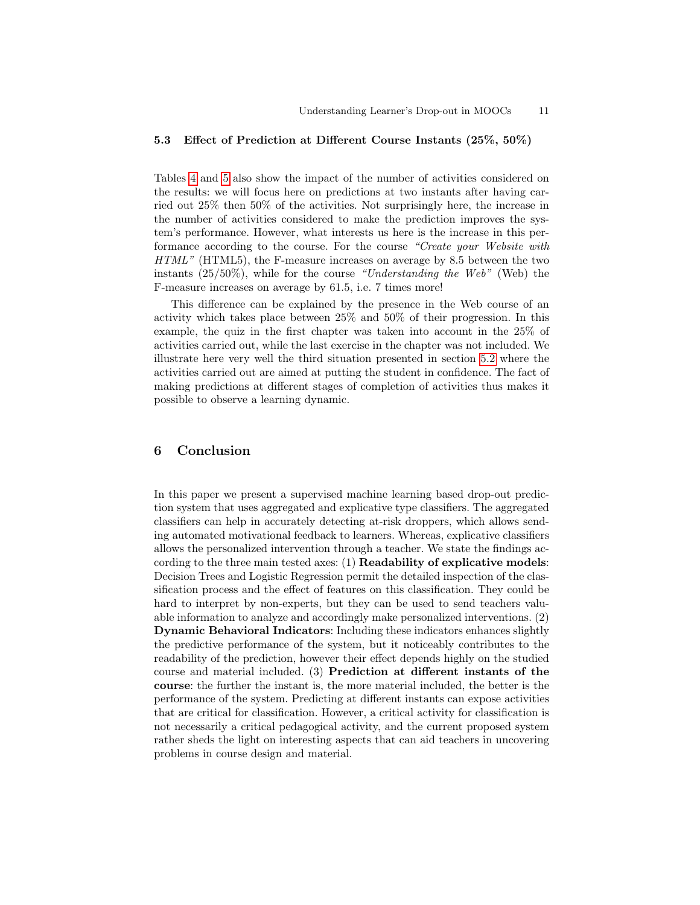### <span id="page-10-1"></span>5.3 Effect of Prediction at Different Course Instants (25%, 50%)

Tables [4](#page-6-1) and [5](#page-6-2) also show the impact of the number of activities considered on the results: we will focus here on predictions at two instants after having carried out 25% then 50% of the activities. Not surprisingly here, the increase in the number of activities considered to make the prediction improves the system's performance. However, what interests us here is the increase in this performance according to the course. For the course "Create your Website with HTML" (HTML5), the F-measure increases on average by 8.5 between the two instants  $(25/50\%)$ , while for the course "Understanding the Web" (Web) the F-measure increases on average by 61.5, i.e. 7 times more!

This difference can be explained by the presence in the Web course of an activity which takes place between 25% and 50% of their progression. In this example, the quiz in the first chapter was taken into account in the 25% of activities carried out, while the last exercise in the chapter was not included. We illustrate here very well the third situation presented in section [5.2](#page-9-0) where the activities carried out are aimed at putting the student in confidence. The fact of making predictions at different stages of completion of activities thus makes it possible to observe a learning dynamic.

## <span id="page-10-0"></span>6 Conclusion

In this paper we present a supervised machine learning based drop-out prediction system that uses aggregated and explicative type classifiers. The aggregated classifiers can help in accurately detecting at-risk droppers, which allows sending automated motivational feedback to learners. Whereas, explicative classifiers allows the personalized intervention through a teacher. We state the findings according to the three main tested axes: (1) Readability of explicative models: Decision Trees and Logistic Regression permit the detailed inspection of the classification process and the effect of features on this classification. They could be hard to interpret by non-experts, but they can be used to send teachers valuable information to analyze and accordingly make personalized interventions. (2) Dynamic Behavioral Indicators: Including these indicators enhances slightly the predictive performance of the system, but it noticeably contributes to the readability of the prediction, however their effect depends highly on the studied course and material included. (3) Prediction at different instants of the course: the further the instant is, the more material included, the better is the performance of the system. Predicting at different instants can expose activities that are critical for classification. However, a critical activity for classification is not necessarily a critical pedagogical activity, and the current proposed system rather sheds the light on interesting aspects that can aid teachers in uncovering problems in course design and material.